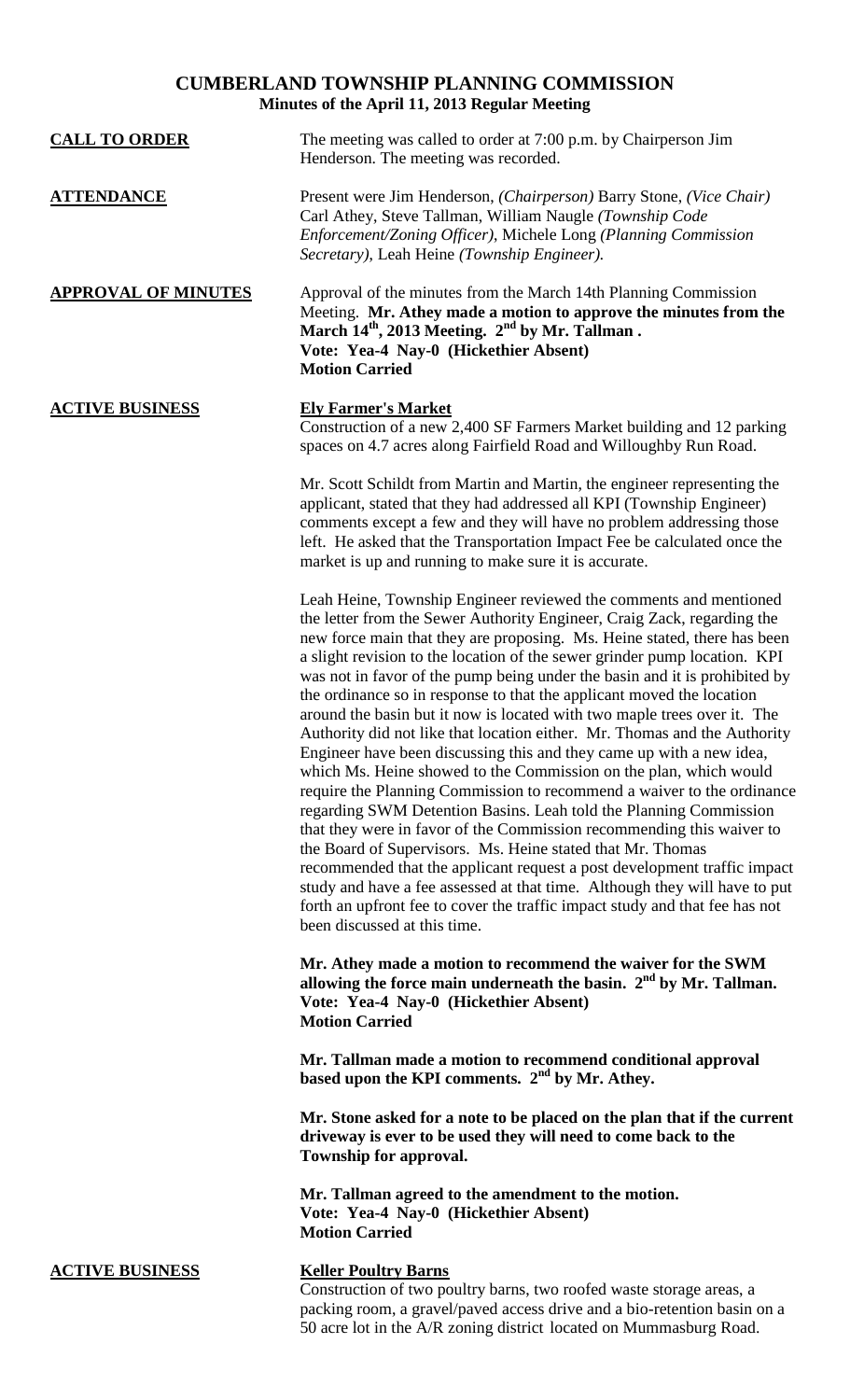## **CUMBERLAND TOWNSHIP PLANNING COMMISSION Minutes of the April 11, 2013 Regular Meeting**

| <b>CALL TO ORDER</b>       | The meeting was called to order at 7:00 p.m. by Chairperson Jim<br>Henderson. The meeting was recorded.                                                                                                                                                                                                                                                                                                                                                                                                                                                                                                                                                                                                                                                                                                                                                                                                                                                                                                                                                                                                                                                                                                                                                                                                                           |
|----------------------------|-----------------------------------------------------------------------------------------------------------------------------------------------------------------------------------------------------------------------------------------------------------------------------------------------------------------------------------------------------------------------------------------------------------------------------------------------------------------------------------------------------------------------------------------------------------------------------------------------------------------------------------------------------------------------------------------------------------------------------------------------------------------------------------------------------------------------------------------------------------------------------------------------------------------------------------------------------------------------------------------------------------------------------------------------------------------------------------------------------------------------------------------------------------------------------------------------------------------------------------------------------------------------------------------------------------------------------------|
| <b>ATTENDANCE</b>          | Present were Jim Henderson, (Chairperson) Barry Stone, (Vice Chair)<br>Carl Athey, Steve Tallman, William Naugle (Township Code<br>Enforcement/Zoning Officer), Michele Long (Planning Commission<br>Secretary), Leah Heine (Township Engineer).                                                                                                                                                                                                                                                                                                                                                                                                                                                                                                                                                                                                                                                                                                                                                                                                                                                                                                                                                                                                                                                                                  |
| <b>APPROVAL OF MINUTES</b> | Approval of the minutes from the March 14th Planning Commission<br>Meeting. Mr. Athey made a motion to approve the minutes from the<br>March 14 <sup>th</sup> , 2013 Meeting. 2 <sup>nd</sup> by Mr. Tallman.<br>Vote: Yea-4 Nay-0 (Hickethier Absent)<br><b>Motion Carried</b>                                                                                                                                                                                                                                                                                                                                                                                                                                                                                                                                                                                                                                                                                                                                                                                                                                                                                                                                                                                                                                                   |
| <b>ACTIVE BUSINESS</b>     | <b>Ely Farmer's Market</b><br>Construction of a new 2,400 SF Farmers Market building and 12 parking<br>spaces on 4.7 acres along Fairfield Road and Willoughby Run Road.                                                                                                                                                                                                                                                                                                                                                                                                                                                                                                                                                                                                                                                                                                                                                                                                                                                                                                                                                                                                                                                                                                                                                          |
|                            | Mr. Scott Schildt from Martin and Martin, the engineer representing the<br>applicant, stated that they had addressed all KPI (Township Engineer)<br>comments except a few and they will have no problem addressing those<br>left. He asked that the Transportation Impact Fee be calculated once the<br>market is up and running to make sure it is accurate.                                                                                                                                                                                                                                                                                                                                                                                                                                                                                                                                                                                                                                                                                                                                                                                                                                                                                                                                                                     |
|                            | Leah Heine, Township Engineer reviewed the comments and mentioned<br>the letter from the Sewer Authority Engineer, Craig Zack, regarding the<br>new force main that they are proposing. Ms. Heine stated, there has been<br>a slight revision to the location of the sewer grinder pump location. KPI<br>was not in favor of the pump being under the basin and it is prohibited by<br>the ordinance so in response to that the applicant moved the location<br>around the basin but it now is located with two maple trees over it. The<br>Authority did not like that location either. Mr. Thomas and the Authority<br>Engineer have been discussing this and they came up with a new idea,<br>which Ms. Heine showed to the Commission on the plan, which would<br>require the Planning Commission to recommend a waiver to the ordinance<br>regarding SWM Detention Basins. Leah told the Planning Commission<br>that they were in favor of the Commission recommending this waiver to<br>the Board of Supervisors. Ms. Heine stated that Mr. Thomas<br>recommended that the applicant request a post development traffic impact<br>study and have a fee assessed at that time. Although they will have to put<br>forth an upfront fee to cover the traffic impact study and that fee has not<br>been discussed at this time. |
|                            | Mr. Athey made a motion to recommend the waiver for the SWM<br>allowing the force main underneath the basin. $2nd$ by Mr. Tallman.<br>Vote: Yea-4 Nay-0 (Hickethier Absent)<br><b>Motion Carried</b>                                                                                                                                                                                                                                                                                                                                                                                                                                                                                                                                                                                                                                                                                                                                                                                                                                                                                                                                                                                                                                                                                                                              |
|                            | Mr. Tallman made a motion to recommend conditional approval<br>based upon the KPI comments. 2 <sup>nd</sup> by Mr. Athey.                                                                                                                                                                                                                                                                                                                                                                                                                                                                                                                                                                                                                                                                                                                                                                                                                                                                                                                                                                                                                                                                                                                                                                                                         |
|                            | Mr. Stone asked for a note to be placed on the plan that if the current<br>driveway is ever to be used they will need to come back to the<br>Township for approval.                                                                                                                                                                                                                                                                                                                                                                                                                                                                                                                                                                                                                                                                                                                                                                                                                                                                                                                                                                                                                                                                                                                                                               |
|                            | Mr. Tallman agreed to the amendment to the motion.<br>Vote: Yea-4 Nay-0 (Hickethier Absent)<br><b>Motion Carried</b>                                                                                                                                                                                                                                                                                                                                                                                                                                                                                                                                                                                                                                                                                                                                                                                                                                                                                                                                                                                                                                                                                                                                                                                                              |
| <b>ACTIVE BUSINESS</b>     | <b>Keller Poultry Barns</b><br>Construction of two poultry barns, two roofed waste storage areas, a<br>packing room, a gravel/paved access drive and a bio-retention basin on a<br>50 acre lot in the A/R zoning district located on Mummasburg Road.                                                                                                                                                                                                                                                                                                                                                                                                                                                                                                                                                                                                                                                                                                                                                                                                                                                                                                                                                                                                                                                                             |